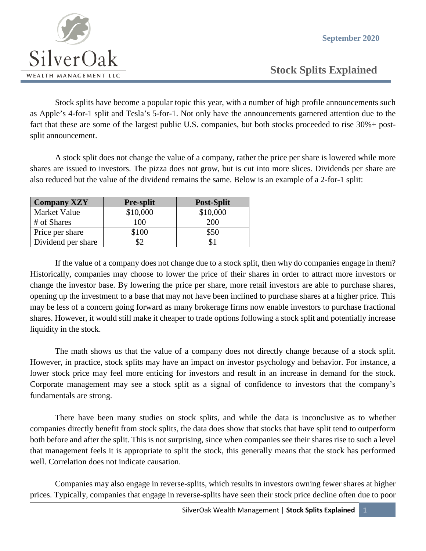**September 2020**



 **Stock Splits Explained**

Stock splits have become a popular topic this year, with a number of high profile announcements such as Apple's 4-for-1 split and Tesla's 5-for-1. Not only have the announcements garnered attention due to the fact that these are some of the largest public U.S. companies, but both stocks proceeded to rise 30%+ postsplit announcement.

A stock split does not change the value of a company, rather the price per share is lowered while more shares are issued to investors. The pizza does not grow, but is cut into more slices. Dividends per share are also reduced but the value of the dividend remains the same. Below is an example of a 2-for-1 split:

| <b>Company XZY</b> | <b>Pre-split</b> | <b>Post-Split</b> |
|--------------------|------------------|-------------------|
| Market Value       | \$10,000         | \$10,000          |
| # of Shares        | 100              | 200               |
| Price per share    | \$100            | \$50              |
| Dividend per share |                  |                   |

If the value of a company does not change due to a stock split, then why do companies engage in them? Historically, companies may choose to lower the price of their shares in order to attract more investors or change the investor base. By lowering the price per share, more retail investors are able to purchase shares, opening up the investment to a base that may not have been inclined to purchase shares at a higher price. This may be less of a concern going forward as many brokerage firms now enable investors to purchase fractional shares. However, it would still make it cheaper to trade options following a stock split and potentially increase liquidity in the stock.

The math shows us that the value of a company does not directly change because of a stock split. However, in practice, stock splits may have an impact on investor psychology and behavior. For instance, a lower stock price may feel more enticing for investors and result in an increase in demand for the stock. Corporate management may see a stock split as a signal of confidence to investors that the company's fundamentals are strong.

There have been many studies on stock splits, and while the data is inconclusive as to whether companies directly benefit from stock splits, the data does show that stocks that have split tend to outperform both before and after the split. This is not surprising, since when companies see their shares rise to such a level that management feels it is appropriate to split the stock, this generally means that the stock has performed well. Correlation does not indicate causation.

Companies may also engage in reverse-splits, which results in investors owning fewer shares at higher prices. Typically, companies that engage in reverse-splits have seen their stock price decline often due to poor